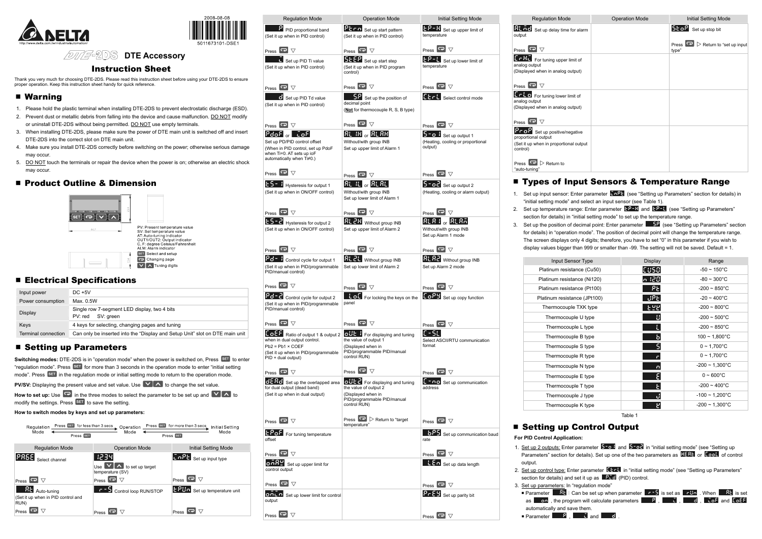



# **DTE Accessory**

### Instruction Sheet

Thank you very much for choosing DTE-2DS. Please read this instruction sheet before using your DTE-2DS to ensure proper operation. Keep this instruction sheet handy for quick reference.

## ■ Warning

- 1. Please hold the plastic terminal when installing DTE-2DS to prevent electrostatic discharge (ESD).
- 2. Prevent dust or metallic debris from falling into the device and cause malfunction. DO NOT modify or uninstall DTE-2DS without being permitted. DO NOT use empty terminals.
- 3. When installing DTE-2DS, please make sure the power of DTE main unit is switched off and insert DTE-2DS into the correct slot on DTE main unit.
- 4. Make sure you install DTE-2DS correctly before switching on the power; otherwise serious damage may occur.
- 5. DO NOT touch the terminals or repair the device when the power is on; otherwise an electric shock may occur.

## **Product Outline & Dimension**



## **Electrical Specifications**

| Input power         | $DC + 5V$                                                                    |
|---------------------|------------------------------------------------------------------------------|
| Power consumption   | Max. 0.5W                                                                    |
| Display             | Single row 7-segment LED display, two 4 bits<br>PV: red SV: green            |
| Keys                | 4 keys for selecting, changing pages and tuning                              |
| Terminal connection | Can only be inserted into the "Display and Setup Unit" slot on DTE main unit |

# ■ Setting up Parameters

**Switching modes:** DTE-2DS is in "operation mode" when the power is switched on, Press SET to enter "regulation mode". Press SET for more than 3 seconds in the operation mode to enter "initial setting mode". Press <sup>SET</sup> in the regulation mode or initial setting mode to return to the operation mode.

**PV/SV:** Displaying the present value and set value. Use **VA** to change the set value.

**How to set up:** Use  $\boxed{\bullet}$  in the three modes to select the parameter to be set up and  $\boxed{\vee}$  A to modify the settings. Press  $\overline{\text{SET}}$  to save the setting.

#### **How to switch modes by keys and set up parameters:**

| Press SET for less than 3 secs<br>Regulation<br>Mode<br>Press SET               | Operation<br>Mode                                                | Press SET for more than 3 secs<br><b>Initial Setting</b><br>Mode<br>Press SET |
|---------------------------------------------------------------------------------|------------------------------------------------------------------|-------------------------------------------------------------------------------|
| <b>Regulation Mode</b>                                                          | <b>Operation Mode</b>                                            | Initial Setting Mode                                                          |
| Select channel<br>Press                                                         | $\triangle$ to set up target<br>Use<br>temperature (SV)<br>Press | $\sqrt{2+2}$ Set up input type<br>$\blacktriangledown$<br>Press <sup>I</sup>  |
| <b>RE</b><br>Auto-tuning<br>(Set it up when in PID control and<br>RUN)<br>Press | Control loop RUN/STOP<br>Press                                   | EPH <sub>o</sub> Set up temperature unit<br>Press                             |

 Parameter :Can be set up when parameter is set as . When is set the program will calculate parameters  $\begin{array}{ccc} \bullet & P \end{array}$ ,  $\begin{array}{ccc} \bullet & \bullet & \bullet \end{array}$  ,  $\begin{array}{ccc} \bullet & \bullet & \bullet \end{array}$  and  $\begin{array}{ccc} \bullet & \bullet & \bullet \end{array}$ and save them.

 $P$ ,  $\Box$  and  $\Box$  d

| <b>PECO</b> Set up start pattern<br>(Set it up when in PID control)<br>Press $\overline{\bullet}$ $\triangledown$<br><b>SEEP</b> Set up start step<br>(Set it up when in PID program<br>control)<br>Press $\overline{\mathbf{P}}$ $\nabla$<br>Set up the position of<br>decimal point<br>(Not for thermocouple R, S, B type)<br>Press $\overline{\bullet}$ $\triangledown$<br>$R$ l iH $_{\rm or}$ $R$ l $R$ H<br>Without/with group INB<br>Set up upper limit of Alarm 1 | <b>EP-H</b> Set up upper limit of<br>temperature<br>Press $\overline{\bullet}$ $\triangledown$<br>$\epsilon P - \epsilon$ Set up lower limit of<br>temperature<br>Press $\overline{\mathbf{P}}$ $\triangledown$<br>EEFL Select control mode<br>Press $\overline{\mathbf{P}}$<br>$5 - 6$ b Set up output 1<br>(Heating, cooling or proportional<br>output)       | <b>RL net</b> Set up delay time for<br>output<br>Press<br>▽<br><b>EFRE</b> For tuning upper limit<br>analog output<br>(Displayed when in analog outp<br>Press $\overline{\bullet}$ $\triangledown$<br>Erto For tuning lower limit<br>analog output<br>(Displayed when in analog outp<br>Press $\overline{\bullet}$ $\triangledown$<br>Prof Set up positive/negal<br>proportional output<br>(Set it up when in proportional<br>control)                                  |
|---------------------------------------------------------------------------------------------------------------------------------------------------------------------------------------------------------------------------------------------------------------------------------------------------------------------------------------------------------------------------------------------------------------------------------------------------------------------------|-----------------------------------------------------------------------------------------------------------------------------------------------------------------------------------------------------------------------------------------------------------------------------------------------------------------------------------------------------------------|-------------------------------------------------------------------------------------------------------------------------------------------------------------------------------------------------------------------------------------------------------------------------------------------------------------------------------------------------------------------------------------------------------------------------------------------------------------------------|
|                                                                                                                                                                                                                                                                                                                                                                                                                                                                           |                                                                                                                                                                                                                                                                                                                                                                 |                                                                                                                                                                                                                                                                                                                                                                                                                                                                         |
|                                                                                                                                                                                                                                                                                                                                                                                                                                                                           |                                                                                                                                                                                                                                                                                                                                                                 |                                                                                                                                                                                                                                                                                                                                                                                                                                                                         |
|                                                                                                                                                                                                                                                                                                                                                                                                                                                                           |                                                                                                                                                                                                                                                                                                                                                                 |                                                                                                                                                                                                                                                                                                                                                                                                                                                                         |
|                                                                                                                                                                                                                                                                                                                                                                                                                                                                           |                                                                                                                                                                                                                                                                                                                                                                 |                                                                                                                                                                                                                                                                                                                                                                                                                                                                         |
|                                                                                                                                                                                                                                                                                                                                                                                                                                                                           |                                                                                                                                                                                                                                                                                                                                                                 |                                                                                                                                                                                                                                                                                                                                                                                                                                                                         |
|                                                                                                                                                                                                                                                                                                                                                                                                                                                                           |                                                                                                                                                                                                                                                                                                                                                                 |                                                                                                                                                                                                                                                                                                                                                                                                                                                                         |
|                                                                                                                                                                                                                                                                                                                                                                                                                                                                           |                                                                                                                                                                                                                                                                                                                                                                 |                                                                                                                                                                                                                                                                                                                                                                                                                                                                         |
|                                                                                                                                                                                                                                                                                                                                                                                                                                                                           |                                                                                                                                                                                                                                                                                                                                                                 |                                                                                                                                                                                                                                                                                                                                                                                                                                                                         |
| Press $\overline{\mathbf{C}}$ $\triangledown$                                                                                                                                                                                                                                                                                                                                                                                                                             | Press $\overline{\mathbf{C}}$ $\triangledown$                                                                                                                                                                                                                                                                                                                   | Press $\Box$ Return to<br>"auto-tuning"                                                                                                                                                                                                                                                                                                                                                                                                                                 |
| $R$ լ $t$ $\vert$ $_{\rm cr}$ $R$ լ $R$ լ $\vert$<br>Without/with group INB                                                                                                                                                                                                                                                                                                                                                                                               | $5 - 2$ Set up output 2<br>(Heating, cooling or alarm output)                                                                                                                                                                                                                                                                                                   | <b>Types of Inp</b><br>Set up input sensor: En<br>1.                                                                                                                                                                                                                                                                                                                                                                                                                    |
|                                                                                                                                                                                                                                                                                                                                                                                                                                                                           |                                                                                                                                                                                                                                                                                                                                                                 | "initial setting mode" an                                                                                                                                                                                                                                                                                                                                                                                                                                               |
| Press $\boxed{\bullet}$ $\triangledown$                                                                                                                                                                                                                                                                                                                                                                                                                                   | Press $\overline{\bullet}$ $\triangledown$                                                                                                                                                                                                                                                                                                                      | Set up temperature ran<br>2.<br>section for details) in "ir                                                                                                                                                                                                                                                                                                                                                                                                             |
| Set up upper limit of Alarm 2                                                                                                                                                                                                                                                                                                                                                                                                                                             | Without/with group INB<br>Set up Alarm 1 mode                                                                                                                                                                                                                                                                                                                   | Set up the position of d<br>3.<br>for details) in "operation<br>The screen displays on                                                                                                                                                                                                                                                                                                                                                                                  |
| Press $\overline{\mathbf{C}}$ $\triangledown$                                                                                                                                                                                                                                                                                                                                                                                                                             | Press $\overline{\bullet}$ $\triangledown$                                                                                                                                                                                                                                                                                                                      | display values bigger th                                                                                                                                                                                                                                                                                                                                                                                                                                                |
| <b>RL 2L</b> Without group INB<br>Set up lower limit of Alarm 2                                                                                                                                                                                                                                                                                                                                                                                                           | <b>RL R2</b> Without group INB<br>Set up Alarm 2 mode                                                                                                                                                                                                                                                                                                           | <b>Input Sens</b><br>Platinum resista                                                                                                                                                                                                                                                                                                                                                                                                                                   |
|                                                                                                                                                                                                                                                                                                                                                                                                                                                                           |                                                                                                                                                                                                                                                                                                                                                                 | Platinum resistar                                                                                                                                                                                                                                                                                                                                                                                                                                                       |
|                                                                                                                                                                                                                                                                                                                                                                                                                                                                           |                                                                                                                                                                                                                                                                                                                                                                 | Platinum resistar                                                                                                                                                                                                                                                                                                                                                                                                                                                       |
|                                                                                                                                                                                                                                                                                                                                                                                                                                                                           |                                                                                                                                                                                                                                                                                                                                                                 | Platinum resistan                                                                                                                                                                                                                                                                                                                                                                                                                                                       |
|                                                                                                                                                                                                                                                                                                                                                                                                                                                                           |                                                                                                                                                                                                                                                                                                                                                                 | Thermocouple                                                                                                                                                                                                                                                                                                                                                                                                                                                            |
|                                                                                                                                                                                                                                                                                                                                                                                                                                                                           |                                                                                                                                                                                                                                                                                                                                                                 | Thermocouple                                                                                                                                                                                                                                                                                                                                                                                                                                                            |
|                                                                                                                                                                                                                                                                                                                                                                                                                                                                           |                                                                                                                                                                                                                                                                                                                                                                 | Thermocoupl                                                                                                                                                                                                                                                                                                                                                                                                                                                             |
| the value of output 1                                                                                                                                                                                                                                                                                                                                                                                                                                                     | Select ASCII/RTU communication                                                                                                                                                                                                                                                                                                                                  | Thermocoupl                                                                                                                                                                                                                                                                                                                                                                                                                                                             |
| (Displayed when in<br>PID/programmable PID/manual<br>control RUN)                                                                                                                                                                                                                                                                                                                                                                                                         | format                                                                                                                                                                                                                                                                                                                                                          | Thermocoupl<br>Thermocouple                                                                                                                                                                                                                                                                                                                                                                                                                                             |
|                                                                                                                                                                                                                                                                                                                                                                                                                                                                           |                                                                                                                                                                                                                                                                                                                                                                 | Thermocouple                                                                                                                                                                                                                                                                                                                                                                                                                                                            |
|                                                                                                                                                                                                                                                                                                                                                                                                                                                                           |                                                                                                                                                                                                                                                                                                                                                                 | Thermocoupl                                                                                                                                                                                                                                                                                                                                                                                                                                                             |
| the value of output 2                                                                                                                                                                                                                                                                                                                                                                                                                                                     | address                                                                                                                                                                                                                                                                                                                                                         | Thermocoupl                                                                                                                                                                                                                                                                                                                                                                                                                                                             |
| (Displayed when in<br>PID/programmable PID/manual                                                                                                                                                                                                                                                                                                                                                                                                                         |                                                                                                                                                                                                                                                                                                                                                                 | Thermocoupl                                                                                                                                                                                                                                                                                                                                                                                                                                                             |
|                                                                                                                                                                                                                                                                                                                                                                                                                                                                           |                                                                                                                                                                                                                                                                                                                                                                 | Thermocoupl                                                                                                                                                                                                                                                                                                                                                                                                                                                             |
| temperature"                                                                                                                                                                                                                                                                                                                                                                                                                                                              |                                                                                                                                                                                                                                                                                                                                                                 | ■ Setting up C                                                                                                                                                                                                                                                                                                                                                                                                                                                          |
|                                                                                                                                                                                                                                                                                                                                                                                                                                                                           | <b>6P5</b> Set up communication baud<br>rate                                                                                                                                                                                                                                                                                                                    | For PID Control Applicatio<br>1. Set up 2 outputs: Enter                                                                                                                                                                                                                                                                                                                                                                                                                |
|                                                                                                                                                                                                                                                                                                                                                                                                                                                                           | Press $\overline{\bullet}$ $\triangledown$                                                                                                                                                                                                                                                                                                                      | Parameters" section for                                                                                                                                                                                                                                                                                                                                                                                                                                                 |
|                                                                                                                                                                                                                                                                                                                                                                                                                                                                           | tto Set up data length                                                                                                                                                                                                                                                                                                                                          | output.<br>2. Set up control type: Ente                                                                                                                                                                                                                                                                                                                                                                                                                                 |
|                                                                                                                                                                                                                                                                                                                                                                                                                                                                           |                                                                                                                                                                                                                                                                                                                                                                 | section for details) and s                                                                                                                                                                                                                                                                                                                                                                                                                                              |
|                                                                                                                                                                                                                                                                                                                                                                                                                                                                           | Pr E Set up parity bit                                                                                                                                                                                                                                                                                                                                          | 3. Set up parameters: In "r<br>Parameter 8t : Ca<br><b>Lon</b> , the progra<br>as I                                                                                                                                                                                                                                                                                                                                                                                     |
|                                                                                                                                                                                                                                                                                                                                                                                                                                                                           |                                                                                                                                                                                                                                                                                                                                                                 | automatically and save<br><b>Parameter</b> $\begin{array}{ c c c c }\n\hline\n\hline\n\hline\n\end{array}$                                                                                                                                                                                                                                                                                                                                                              |
|                                                                                                                                                                                                                                                                                                                                                                                                                                                                           | Set up lower limit of Alarm 1<br><b>RL 2H</b> Without group INB<br>Press $\boxed{\bullet}$ $\triangledown$<br>panel<br>Press $\overline{\bullet}$ $\triangledown$<br>oUL f For displaying and tuning<br>Press $\overline{\mathbf{C}}$ $\overline{\nabla}$<br>o UE For displaying and tuning<br>control RUN)<br>Press $\boxed{\rightarrow}$ > Return to "target" | $RLR + \frac{1}{20}RLRA$<br>Press $\overline{\mathbf{P}}$ $\triangledown$<br><b>Lof</b> For locking the keys on the <b>LoPY</b> Set up copy function<br>Press $\overline{\mathbf{P}}$ $\triangledown$<br>IE – SE I<br>Press $\overline{\mathbf{P}}$ $\triangledown$<br>$f - \overline{\mathbf{u}}$ Set up communication<br>Press $\overline{\mathbf{P}}$ $\triangledown$<br>Press $\overline{\mathbf{P}}$ $\triangledown$<br>Press $\overline{\bullet}$ $\triangledown$ |

| <b>Regulation Mode</b>                                                                                        | <b>Operation Mode</b> | <b>Initial Setting Mode</b>                              |
|---------------------------------------------------------------------------------------------------------------|-----------------------|----------------------------------------------------------|
| Set up delay time for alarm                                                                                   |                       | <b>SEOP</b> Set up stop bit                              |
| $\overline{\mathbf{e}}$ $\overline{\nabla}$                                                                   |                       | Press $\boxed{\bullet}$ Return to "set up input<br>type" |
| For tuning upper limit of<br>ıtput<br>d when in analog output)                                                |                       |                                                          |
| $\overline{\mathbf{e}}$ $\overline{\nabla}$                                                                   |                       |                                                          |
| For tuning lower limit of<br>ıtput<br>d when in analog output)<br>$\overline{\mathbf{c}}$ $\overline{\nabla}$ |                       |                                                          |
| Set up positive/negative<br>nal output<br>when in proportional output                                         |                       |                                                          |
| $\blacksquare$ $\triangleright$ Return to<br>inq"                                                             |                       |                                                          |

#### of Input Sensors & Temperature Range

sensor: Enter parameter  $\frac{1}{5}$  o<sup>p</sup>t (see "Setting up Parameters" section for details) in mode" and select an input sensor (see Table 1).

rature range: Enter parameter **EP-H** and **EP-L** (see "Setting up Parameters" tails) in "initial setting mode" to set up the temperature range.

 $\frac{1}{3}$  sition of decimal point: Enter parameter  $\frac{1}{3}$  (see "Setting up Parameters" section "operation mode". The position of decimal point will change the temperature range. lisplays only 4 digits; therefore, you have to set "0" in this parameter if you wish to bigger than 999 or smaller than -99. The setting will not be saved. Default = 1.

| Input Sensor Type            | <b>Display</b> | Range                       |
|------------------------------|----------------|-----------------------------|
| Platinum resistance (Cu50)   | CUSO           | $-50 \sim 150^{\circ}$ C    |
| Platinum resistance (Ni120)  | 120 م          | $-80 \sim 300^{\circ}$ C    |
| Platinum resistance (Pt100)  | PE.            | $-200 \sim 850^{\circ}$ C   |
| Platinum resistance (JPt100) | UPE.           | $-20 \sim 400^{\circ}$ C    |
| Thermocouple TXK type        | <u>Faa</u>     | $-200 \sim 800^{\circ}$ C   |
| Thermocouple U type          | IJ             | $-200 \sim 500^{\circ}$ C   |
| Thermocouple L type          | L              | $-200 \sim 850^{\circ}$ C   |
| Thermocouple B type          | ь              | $100 \sim 1,800^{\circ}$ C  |
| Thermocouple S type          | S.             | $0 \sim 1,700^{\circ}$ C    |
| Thermocouple R type          | г              | $0 \sim 1,700^{\circ}$ C    |
| Thermocouple N type          | $\Box$         | $-200 \sim 1,300^{\circ}$ C |
| Thermocouple E type          | Ε              | $0 - 600^{\circ}$ C         |
| Thermocouple T type          | F.             | $-200 \sim 400^{\circ}$ C   |
| Thermocouple J type          | J              | $-100 \sim 1,200^{\circ}$ C |
| Thermocouple K type          | 5              | $-200 \sim 1,300^{\circ}$ C |

Table 1

#### up Control Output

**Application:** 

1ts: Enter parameter **5 outpand 5 ode** in "initial setting mode" (see "Setting up ection for details). Set up one of the two parameters as **EFFIF** or **EcooL** of control

type: Enter parameter **ELCE** in "initial setting mode" (see "Setting up Parameters" tails) and set it up as  $\left\| \frac{\partial \mathbf{G}}{\partial \mathbf{G}} \right\|$  (PID) control.

ters: In "regulation mode"